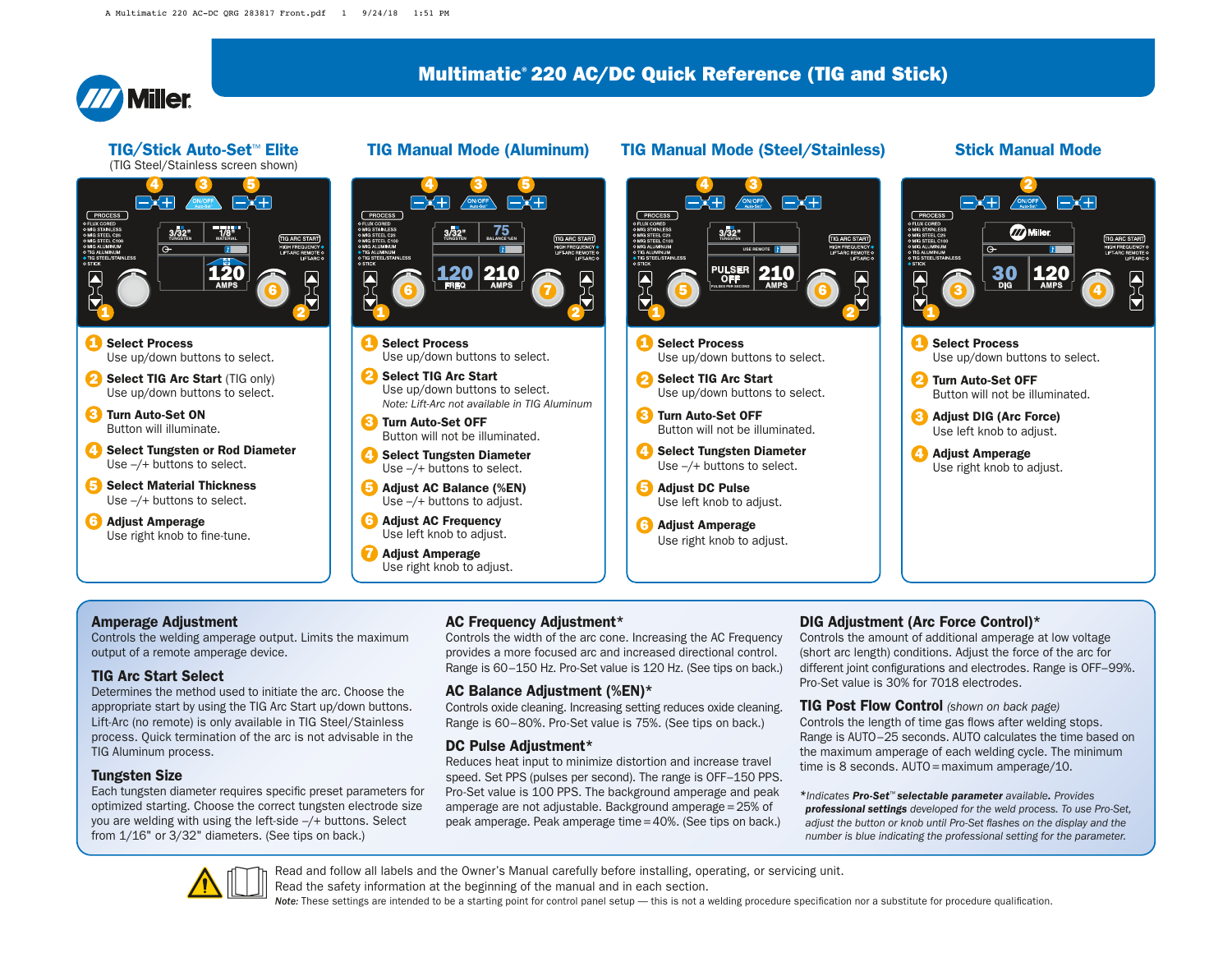

#### TIG/Stick Auto-Set™ Elite (TIG Steel/Stainless screen shown)



**1** Select Process Use up/down buttons to select.

2 Select TIG Arc Start (TIG only) Use up/down buttons to select.

**3** Turn Auto-Set ON Button will illuminate.

Select Tungsten or Rod Diameter Use –/+ buttons to select.  $\boldsymbol{\Omega}$ 

5 Select Material Thickness Use –/+ buttons to select.

Adjust Amperage 6 Use right knob to fine-tune.



- **1** Select Process Use up/down buttons to select.
- 2 Select TIG Arc Start Use up/down buttons to select. *Note: Lift-Arc not available in TIG Aluminum*

Turn Auto-Set OFF 3 Button will not be illuminated.

- 4. Select Tungsten Diameter Use –/+ buttons to select.
- 5 Adjust AC Balance (%EN) Use –/+ buttons to adjust.

Adjust AC Frequency 6 Use left knob to adjust.

**7** Adjust Amperage Use right knob to adjust.

## TIG Manual Mode (Aluminum) TIG Manual Mode (Steel/Stainless) Stick Manual Mode



- **1** Select Process Use up/down buttons to select.
- 2 Select TIG Arc Start Use up/down buttons to select.
- **3** Turn Auto-Set OFF Button will not be illuminated.
- 4. Select Tungsten Diameter Use –/+ buttons to select.
- 5 Adjust DC Pulse Use left knob to adjust.
- Adjust Amperage 6 Use right knob to adjust.



### Amperage Adjustment

Controls the welding amperage output. Limits the maximum output of a remote amperage device.

### TIG Arc Start Select

Determines the method used to initiate the arc. Choose the appropriate start by using the TIG Arc Start up/down buttons. Lift-Arc (no remote) is only available in TIG Steel/Stainless process. Quick termination of the arc is not advisable in the TIG Aluminum process.

### Tungsten Size

Each tungsten diameter requires specific preset parameters for optimized starting. Choose the correct tungsten electrode size you are welding with using the left-side –/+ buttons. Select from 1/16" or 3/32" diameters. (See tips on back.)

### AC Frequency Adjustment\*

Controls the width of the arc cone. Increasing the AC Frequency provides a more focused arc and increased directional control. Range is 60–150 Hz. Pro-Set value is 120 Hz. (See tips on back.)

## AC Balance Adjustment (%EN)\*

Controls oxide cleaning. Increasing setting reduces oxide cleaning. Range is 60–80%. Pro-Set value is 75%. (See tips on back.)

#### DC Pulse Adjustment\*

Reduces heat input to minimize distortion and increase travel speed. Set PPS (pulses per second). The range is OFF–150 PPS. Pro-Set value is 100 PPS. The background amperage and peak amperage are not adjustable. Background amperage = 25% of peak amperage. Peak amperage time = 40%. (See tips on back.)

## DIG Adjustment (Arc Force Control)\*

Controls the amount of additional amperage at low voltage (short arc length) conditions. Adjust the force of the arc for different joint configurations and electrodes. Range is OFF-99%. Pro-Set value is 30% for 7018 electrodes.

TIG Post Flow Control *(shown on back page)* Controls the length of time gas flows after welding stops. Range is AUTO–25 seconds. AUTO calculates the time based on the maximum amperage of each welding cycle. The minimum time is 8 seconds. AUTO = maximum amperage/10.

*\*Indicates Pro-Set™ selectable parameter available. Provides professional settings developed for the weld process. To use Pro-Set,*  adjust the button or knob until Pro-Set flashes on the display and the *number is blue indicating the professional setting for the parameter.*



Read and follow all labels and the Owner's Manual carefully before installing, operating, or servicing unit.

Read the safety information at the beginning of the manual and in each section.

Note: These settings are intended to be a starting point for control panel setup — this is not a welding procedure specification nor a substitute for procedure qualification.